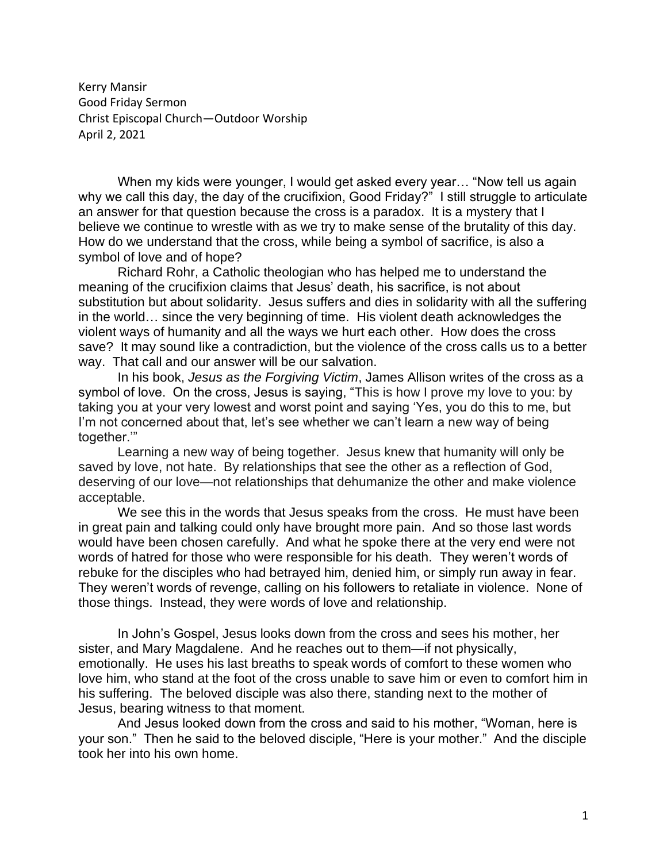Kerry Mansir Good Friday Sermon Christ Episcopal Church—Outdoor Worship April 2, 2021

When my kids were younger, I would get asked every year… "Now tell us again why we call this day, the day of the crucifixion, Good Friday?" I still struggle to articulate an answer for that question because the cross is a paradox. It is a mystery that I believe we continue to wrestle with as we try to make sense of the brutality of this day. How do we understand that the cross, while being a symbol of sacrifice, is also a symbol of love and of hope?

Richard Rohr, a Catholic theologian who has helped me to understand the meaning of the crucifixion claims that Jesus' death, his sacrifice, is not about substitution but about solidarity. Jesus suffers and dies in solidarity with all the suffering in the world… since the very beginning of time. His violent death acknowledges the violent ways of humanity and all the ways we hurt each other. How does the cross save? It may sound like a contradiction, but the violence of the cross calls us to a better way. That call and our answer will be our salvation.

In his book, *Jesus as the Forgiving Victim*, James Allison writes of the cross as a symbol of love. On the cross, Jesus is saying, "This is how I prove my love to you: by taking you at your very lowest and worst point and saying 'Yes, you do this to me, but I'm not concerned about that, let's see whether we can't learn a new way of being together.'"

Learning a new way of being together. Jesus knew that humanity will only be saved by love, not hate. By relationships that see the other as a reflection of God, deserving of our love—not relationships that dehumanize the other and make violence acceptable.

We see this in the words that Jesus speaks from the cross. He must have been in great pain and talking could only have brought more pain. And so those last words would have been chosen carefully. And what he spoke there at the very end were not words of hatred for those who were responsible for his death. They weren't words of rebuke for the disciples who had betrayed him, denied him, or simply run away in fear. They weren't words of revenge, calling on his followers to retaliate in violence. None of those things. Instead, they were words of love and relationship.

In John's Gospel, Jesus looks down from the cross and sees his mother, her sister, and Mary Magdalene. And he reaches out to them—if not physically, emotionally. He uses his last breaths to speak words of comfort to these women who love him, who stand at the foot of the cross unable to save him or even to comfort him in his suffering. The beloved disciple was also there, standing next to the mother of Jesus, bearing witness to that moment.

And Jesus looked down from the cross and said to his mother, "Woman, here is your son." Then he said to the beloved disciple, "Here is your mother." And the disciple took her into his own home.